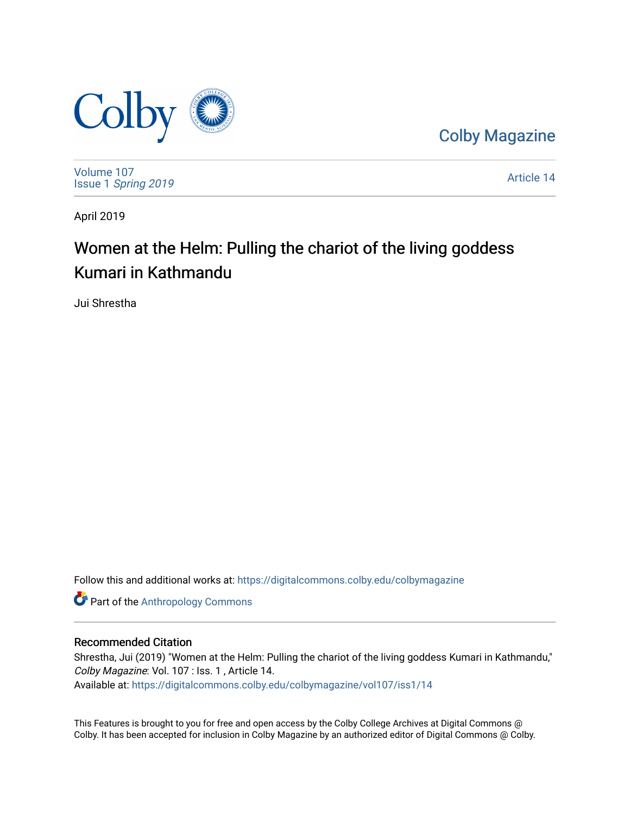

[Colby Magazine](https://digitalcommons.colby.edu/colbymagazine) 

[Volume 107](https://digitalcommons.colby.edu/colbymagazine/vol107) Issue 1 [Spring 2019](https://digitalcommons.colby.edu/colbymagazine/vol107/iss1) 

[Article 14](https://digitalcommons.colby.edu/colbymagazine/vol107/iss1/14) 

April 2019

### Women at the Helm: Pulling the chariot of the living goddess Kumari in Kathmandu

Jui Shrestha

Follow this and additional works at: [https://digitalcommons.colby.edu/colbymagazine](https://digitalcommons.colby.edu/colbymagazine?utm_source=digitalcommons.colby.edu%2Fcolbymagazine%2Fvol107%2Fiss1%2F14&utm_medium=PDF&utm_campaign=PDFCoverPages)

Part of the [Anthropology Commons](http://network.bepress.com/hgg/discipline/318?utm_source=digitalcommons.colby.edu%2Fcolbymagazine%2Fvol107%2Fiss1%2F14&utm_medium=PDF&utm_campaign=PDFCoverPages)

#### Recommended Citation

Shrestha, Jui (2019) "Women at the Helm: Pulling the chariot of the living goddess Kumari in Kathmandu," Colby Magazine: Vol. 107 : Iss. 1 , Article 14. Available at: [https://digitalcommons.colby.edu/colbymagazine/vol107/iss1/14](https://digitalcommons.colby.edu/colbymagazine/vol107/iss1/14?utm_source=digitalcommons.colby.edu%2Fcolbymagazine%2Fvol107%2Fiss1%2F14&utm_medium=PDF&utm_campaign=PDFCoverPages)

This Features is brought to you for free and open access by the Colby College Archives at Digital Commons @ Colby. It has been accepted for inclusion in Colby Magazine by an authorized editor of Digital Commons @ Colby.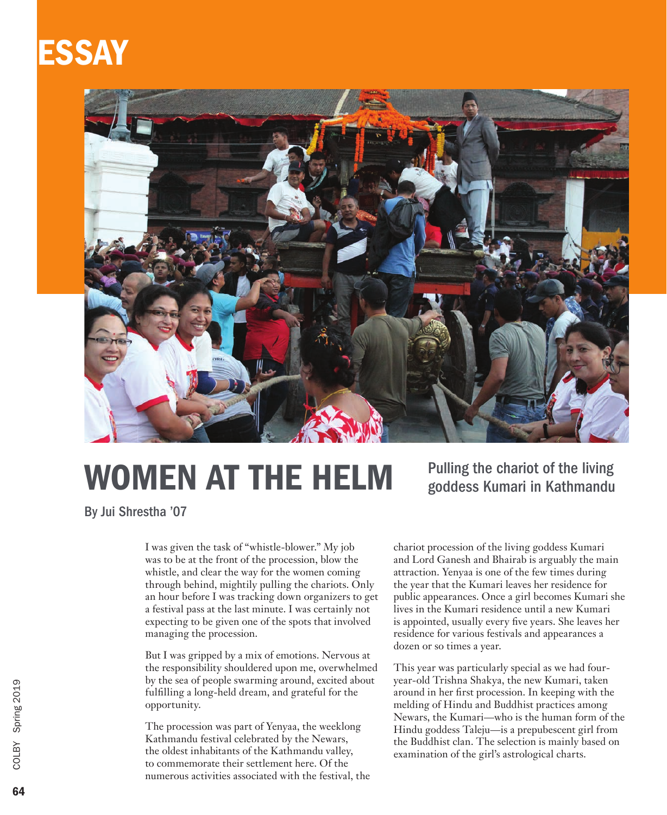## ESSAY



# WOMEN AT THE HELM

Pulling the chariot of the living goddess Kumari in Kathmandu

By Jui Shrestha '07

I was given the task of "whistle-blower." My job was to be at the front of the procession, blow the whistle, and clear the way for the women coming through behind, mightily pulling the chariots. Only an hour before I was tracking down organizers to get a festival pass at the last minute. I was certainly not expecting to be given one of the spots that involved managing the procession.

But I was gripped by a mix of emotions. Nervous at the responsibility shouldered upon me, overwhelmed by the sea of people swarming around, excited about fulfilling a long-held dream, and grateful for the opportunity.

The procession was part of Yenyaa, the weeklong Kathmandu festival celebrated by the Newars, the oldest inhabitants of the Kathmandu valley, to commemorate their settlement here. Of the numerous activities associated with the festival, the

chariot procession of the living goddess Kumari and Lord Ganesh and Bhairab is arguably the main attraction. Yenyaa is one of the few times during the year that the Kumari leaves her residence for public appearances. Once a girl becomes Kumari she lives in the Kumari residence until a new Kumari is appointed, usually every five years. She leaves her residence for various festivals and appearances a dozen or so times a year.

This year was particularly special as we had fouryear-old Trishna Shakya, the new Kumari, taken around in her first procession. In keeping with the melding of Hindu and Buddhist practices among Newars, the Kumari—who is the human form of the Hindu goddess Taleju—is a prepubescent girl from the Buddhist clan. The selection is mainly based on examination of the girl's astrological charts.